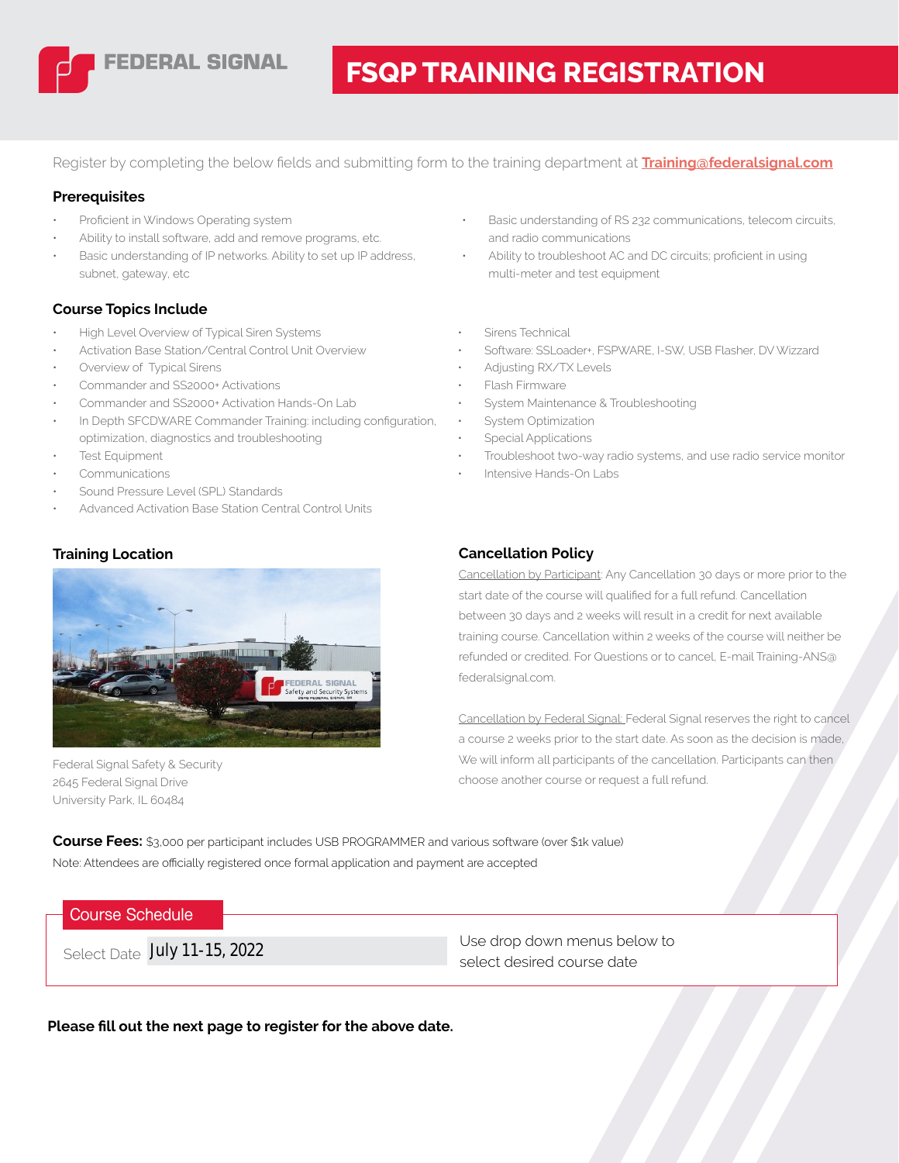

# **FSQP TRAINING REGISTRATION**

Register by completing the below fields and submitting form to the training department at **[Training@federalsignal.com](mailto:Training-ANS%40federalsignal.com?subject=FSQP%20Training%20Form)**

#### **Prerequisites**

- Proficient in Windows Operating system
- Ability to install software, add and remove programs, etc.
- Basic understanding of IP networks. Ability to set up IP address, subnet, gateway, etc

#### **Course Topics Include**

- High Level Overview of Typical Siren Systems
- Activation Base Station/Central Control Unit Overview
- Overview of Typical Sirens
- Commander and SS2000+ Activations
- Commander and SS2000+ Activation Hands-On Lab
- In Depth SFCDWARE Commander Training: including configuration, optimization, diagnostics and troubleshooting
- **Test Equipment**
- **Communications**
- Sound Pressure Level (SPL) Standards
- Advanced Activation Base Station Central Control Units

### **Training Location**



Federal Signal Safety & Security 2645 Federal Signal Drive University Park, IL 60484

- Basic understanding of RS 232 communications, telecom circuits, and radio communications
- Ability to troubleshoot AC and DC circuits; proficient in using multi-meter and test equipment
- Sirens Technical
- Software: SSLoader+, FSPWARE, I-SW, USB Flasher, DV Wizzard
- Adjusting RX/TX Levels
- Flash Firmware
- System Maintenance & Troubleshooting
- System Optimization
- Special Applications
- Troubleshoot two-way radio systems, and use radio service monitor
- Intensive Hands-On Labs

### **Cancellation Policy**

Cancellation by Participant: Any Cancellation 30 days or more prior to the start date of the course will qualified for a full refund. Cancellation between 30 days and 2 weeks will result in a credit for next available training course. Cancellation within 2 weeks of the course will neither be refunded or credited. For Questions or to cancel, E-mail Training-ANS@ federalsignal.com.

Cancellation by Federal Signal: Federal Signal reserves the right to cancel a course 2 weeks prior to the start date. As soon as the decision is made, We will inform all participants of the cancellation. Participants can then choose another course or request a full refund.

**Course Fees:** \$3,000 per participant includes USB PROGRAMMER and various software (over \$1k value) Note: Attendees are officially registered once formal application and payment are accepted

### **Course Schedule**

Use drop down menus below to Select Date **July 11-15, 2022**<br>Select desired course date

**Please fill out the next page to register for the above date.**